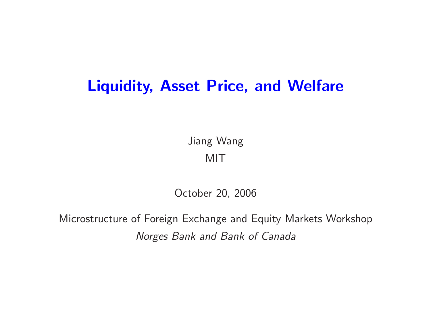# **Liquidity, Asset Price, and Welfare**

Jiang Wang MIT

October 20, 2006

Microstructure of Foreign Exchange and Equity Markets Workshop *Norges Bank and Bank of Canada*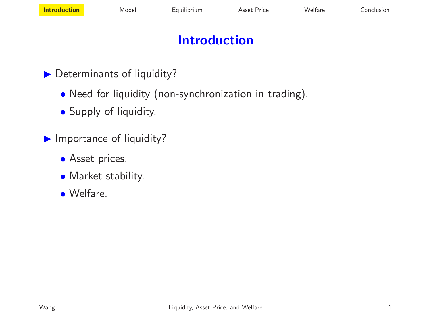# **Introduction**

- **Determinants of liquidity?** 
	- Need for liquidity (non-synchronization in trading).
	- Supply of liquidity.
- **Importance of liquidity?** 
	- **•** Asset prices.
	- Market stability.
	- Welfare.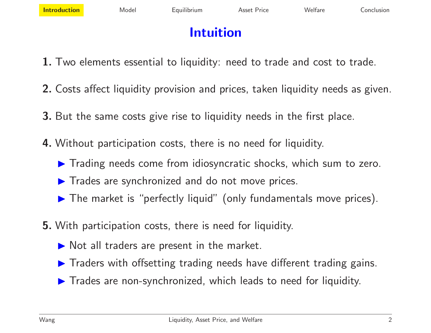# **Intuition**

- **1.** Two elements essential to liquidity: need to trade and cost to trade.
- **2.** Costs affect liquidity provision and prices, taken liquidity needs as given.
- **3.** But the same costs give rise to liquidity needs in the first place.
- **4.** Without participation costs, there is no need for liquidity.
	- $\blacktriangleright$  Trading needs come from idiosyncratic shocks, which sum to zero.
	- **Trades are synchronized and do not move prices.**
	- $\blacktriangleright$  The market is "perfectly liquid" (only fundamentals move prices).
- **5.** With participation costs, there is need for liquidity.
	- $\triangleright$  Not all traders are present in the market.
	- $\blacktriangleright$  Traders with offsetting trading needs have different trading gains.
	- $\blacktriangleright$  Trades are non-synchronized, which leads to need for liquidity.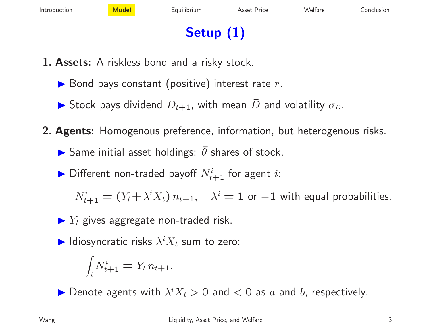# **Setup (1)**

- **1. Assets:** A riskless bond and <sup>a</sup> risky stock.
	- $\blacktriangleright$  Bond pays constant (positive) interest rate  $r.$
	- $\blacktriangleright$  Stock pays dividend  $D_{t+1}$ , with mean  $\bar{D}$  $D$  and volatility  $\sigma_D.$
- **2. Agents:** Homogenous preference, information, but heterogenous risks.
	- $\blacktriangleright$  Same initial asset holdings:  $\bar{\theta}$  $\theta$  shares of stock.
	- $\blacktriangleright$  Different non-traded payoff  $N_{t+1}^i$  for agent  $i$ :

 $N_{t+1}^i = (Y_t + \lambda^i X_t) n_{t+1}, \quad \lambda^i = 1$  or  $-1$  with equal probabilities.

- $\blacktriangleright$   $Y_t$  gives aggregate non-traded risk.
- $\blacktriangleright$  Idiosyncratic risks  $\lambda^i X_t$  sum to zero:

$$
\int_i N_{t+1}^i = Y_t n_{t+1}.
$$

 $\blacktriangleright$  Denote agents with  $\lambda^i X_t > 0$  and  $< 0$  as  $a$  and  $b$ , respectively.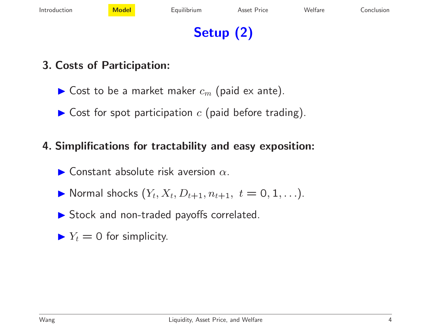# **Setup (2)**

#### **3. Costs of Participation:**

- $\blacktriangleright$  Cost to be a market maker  $c_m$  (paid ex ante).
- $\blacktriangleright$  Cost for spot participation  $c$  (paid before trading).

#### **4. Simplifications for tractability and easy exposition:**

- $\blacktriangleright$  Constant absolute risk aversion  $\alpha$ .
- $\blacktriangleright$  Normal shocks  $(Y_t, X_t, D_{t+1}, n_{t+1}, t = 0, 1, \ldots).$
- ▶ Stock and non-traded payoffs correlated.
- $\blacktriangleright Y_t = 0$  for simplicity.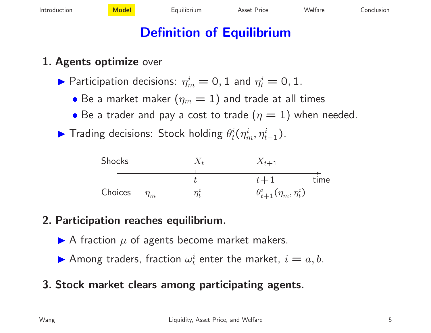# **Definition of Equilibrium**

#### **1. Agents optimize** over

 $\blacktriangleright$  Participation decisions:  $\eta_m^i=0,1$  and  $\eta_t^i=0,1.$ 

- $\bullet$  Be a market maker  $(\eta_m=1)$  and trade at all times
- $\bullet$  Be a trader and pay a cost to trade  $(\eta=1)$  when needed.
- ► Trading decisions: Stock holding  $\theta_t^i(\eta_m^i, \eta_{t-1}^i)$ .

| Shocks  |          | $X_{t+1}$                          |      |
|---------|----------|------------------------------------|------|
|         |          |                                    |      |
|         |          | $t+1$                              | time |
| Choices | $\eta_m$ | $\theta_{t+1}^i(\eta_m, \eta_t^i)$ |      |

#### **2. Participation reaches equilibrium.**

- $\blacktriangleright$  A fraction  $\mu$  of agents become market makers.
- $\blacktriangleright$  Among traders, fraction  $\omega_t^i$  enter the market,  $i=a,b.$
- **3. Stock market clears among participating agents.**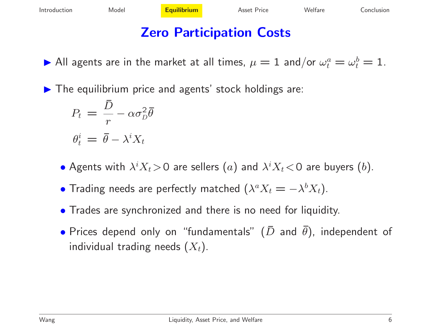# **Zero Participation Costs**

 $\blacktriangleright$  All agents are in the market at all times,  $\mu=1$  and/or  $\omega_t^a=\omega_t^b=1.$ 

 $\blacktriangleright$  The equilibrium price and agents' stock holdings are:

$$
P_t = \frac{\bar{D}}{r} - \alpha \sigma_D^2 \bar{\theta}
$$

$$
\theta_t^i = \bar{\theta} - \lambda^i X_t
$$

- $\bullet$  Agents with  $\lambda^i X_t \!>\! 0$  are sellers  $(a)$  and  $\lambda^i X_t \! <\! 0$  are buyers  $(b).$
- $\bullet$  Trading needs are perfectly matched  $(\lambda^a X_t = -\lambda^b X_t).$
- Trades are synchronized and there is no need for liquidity.
- $\bullet$  Prices depend only on "fundamentals"  $(\bar D$  and  $\bar \theta)$ , independent of individual trading needs  $(X_t)$ .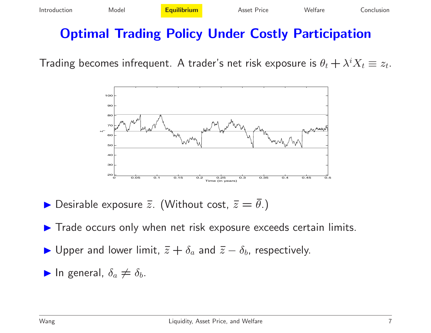## **Optimal Trading Policy Under Costly Participation**

Trading becomes infrequent. A trader's net risk exposure is  $\theta_t + \lambda^i X_t \equiv z_t$ .



 $\blacktriangleright$  Desirable exposure  $\bar{z}$ . (Without cost,  $\bar{z} = \bar{\theta}$ .)

 $\blacktriangleright$  Trade occurs only when net risk exposure exceeds certain limits.

► Upper and lower limit,  $\bar{z}+\delta_a$  and  $\bar{z}-\delta_b$ , respectively.

$$
\blacktriangleright
$$
 In general,  $\delta_a \neq \delta_b$ .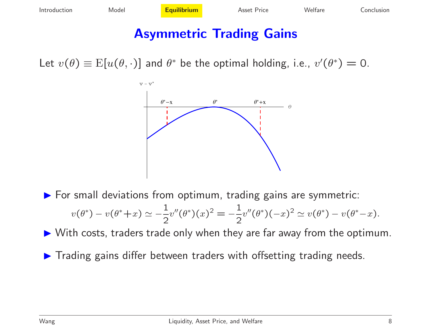### **Asymmetric Trading Gains**

Let  $v(\theta) \equiv E[u(\theta, \cdot)]$  and  $\theta^*$  be the optimal holding, i.e.,  $v'(\theta^*)=0$ .



 $\blacktriangleright$  For small deviations from optimum, trading gains are symmetric:  $v(\theta^*) - v(\theta^*+x) \simeq -\frac{1}{2}v''(\theta^*)(x)^2 = -\frac{1}{2}v''(\theta^*)(-x)^2 \simeq v(\theta^*) - v(\theta^*-x).$ 

 $\blacktriangleright$  With costs, traders trade only when they are far away from the optimum.

**Trading gains differ between traders with offsetting trading needs.**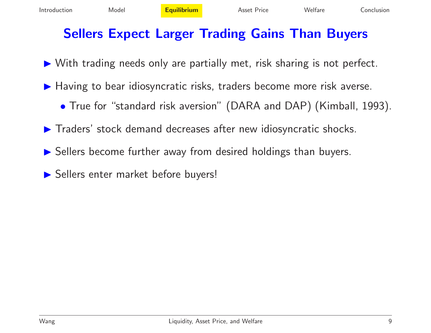## **Sellers Expect Larger Trading Gains Than Buyers**

- ▶ With trading needs only are partially met, risk sharing is not perfect.
- ▶ Having to bear idiosyncratic risks, traders become more risk averse.
	- True for "standard risk aversion" (DARA and DAP) (Kimball, 1993).
- $\blacktriangleright$  Traders' stock demand decreases after new idiosyncratic shocks.
- **Sellers become further away from desired holdings than buyers.**
- Sellers enter market before buyers!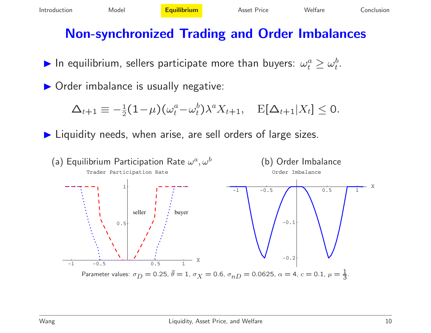# **Non-synchronized Trading and Order Imbalances**

 $\blacktriangleright$  In equilibrium, sellers participate more than buyers:  $\omega_t^a \geq \omega_t^b$ .

**• Order imbalance is usually negative:** 

$$
\Delta_{t+1} \equiv -\tfrac{1}{2}(1-\mu)(\omega_t^a - \omega_t^b)\lambda^a X_{t+1}, \quad \mathrm{E}[\Delta_{t+1}|X_t] \leq 0.
$$

▶ Liquidity needs, when arise, are sell orders of large sizes.

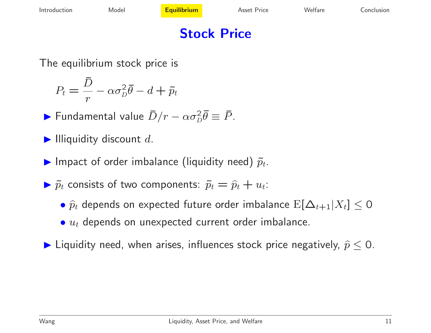# **Stock Price**

The equilibrium stock price is

$$
P_t = \frac{D}{r} - \alpha \sigma_D^2 \bar{\theta} - d + \tilde{p}_t
$$

 $\blacktriangleright$  Fundamental value  $\bar{D}/r$ –––––––  $-\alpha\sigma_D^2\bar{\theta}\equiv\bar{P}.$ 

- $\blacktriangleright$  Illiquidity discount  $d$ .
- $\blacktriangleright$  Impact of order imbalance (liquidity need)  $\tilde{p}_t$ .
- $\blacktriangleright$   $\tilde{p}$  $\tilde p_t$  consists of two components:  $\tilde p_t = \widehat p_t + u_t$ :
	- $\bullet$   $\widehat{p}$  $\widehat p_t$  depends on expected future order imbalance  $\mathrm{E}[\Delta_{t+1}|X_t]\leq 0$
	- $\bullet\ u_{t}$  depends on unexpected current order imbalance.
- $\blacktriangleright$  Liquidity need, when arises, influences stock price negatively,  $\widehat{p}\leq 0.$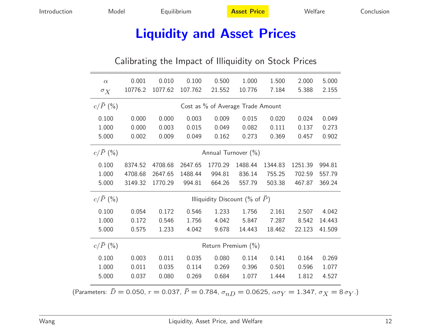### **Liquidity and Asset Prices**

#### Calibrating the Impact of Illiquidity on Stock Prices

| $\alpha$<br>$\sigma_{X}$                              | 0.001<br>10776.2                       | 0.010<br>1077.62 | 0.100<br>107.762 | 0.500<br>21.552 | 1.000<br>10.776 | 1.500<br>7.184 | 2.000<br>5.388 | 5.000<br>2.155 |  |  |
|-------------------------------------------------------|----------------------------------------|------------------|------------------|-----------------|-----------------|----------------|----------------|----------------|--|--|
| $c/\bar{P}$ (%)                                       | Cost as % of Average Trade Amount      |                  |                  |                 |                 |                |                |                |  |  |
| 0.100                                                 | 0.000                                  | 0.000            | 0.003            | 0.009           | 0.015           | 0.020          | 0.024          | 0.049          |  |  |
| 1.000                                                 | 0.000                                  | 0.003            | 0.015            | 0.049           | 0.082           | 0.111          | 0.137          | 0.273          |  |  |
| 5.000                                                 | 0.002                                  | 0.009            | 0.049            | 0.162           | 0.273           | 0.369          | 0.457          | 0.902          |  |  |
| $c/\bar{P}$ (%)                                       | Annual Turnover (%)                    |                  |                  |                 |                 |                |                |                |  |  |
| 0.100                                                 | 8374.52                                | 4708.68          | 2647.65          | 1770.29         | 1488.44         | 1344.83        | 1251.39        | 994.81         |  |  |
| 1.000                                                 | 4708.68                                | 2647.65          | 1488.44          | 994.81          | 836.14          | 755.25         | 702.59         | 557.79         |  |  |
| 5.000                                                 | 3149.32                                | 1770.29          | 994.81           | 664.26          | 557.79          | 503.38         | 467.87         | 369.24         |  |  |
| $c/\bar{P}$ (%)                                       | Illiquidity Discount (% of $\bar{P}$ ) |                  |                  |                 |                 |                |                |                |  |  |
| 0.100                                                 | 0.054                                  | 0.172            | 0.546            | 1.233           | 1.756           | 2.161          | 2.507          | 4.042          |  |  |
| 1.000                                                 | 0.172                                  | 0.546            | 1.756            | 4.042           | 5.847           | 7.287          | 8.542          | 14.443         |  |  |
| 5.000                                                 | 0.575                                  | 1.233            | 4.042            | 9.678           | 14.443          | 18.462         | 22.123         | 41.509         |  |  |
| $c/\bar{P}$ (%)                                       | Return Premium (%)                     |                  |                  |                 |                 |                |                |                |  |  |
| 0.100                                                 | 0.003                                  | 0.011            | 0.035            | 0.080           | 0.114           | 0.141          | 0.164          | 0.269          |  |  |
| 1.000                                                 | 0.011                                  | 0.035            | 0.114            | 0.269           | 0.396           | 0.501          | 0.596          | 1.077          |  |  |
| 5.000                                                 | 0.037                                  | 0.080            | 0.269            | 0.684           | 1.077           | 1.444          | 1.812          | 4.527          |  |  |
| $\overline{D} = 0.050 - 0.027 - \overline{D} = 0.704$ |                                        |                  |                  |                 | $\sim$ 0.060E   |                | 1.21           |                |  |  |

(Parameters:  $\bar{D}=$  0.050,  $r=$  0.037,  $\bar{P}=$  0.784,  $\sigma_{nD}=$  0.0625,  $\alpha\sigma_{Y}=$  1.347,  $\sigma_{X}=$  8  $\sigma_{Y}$ .)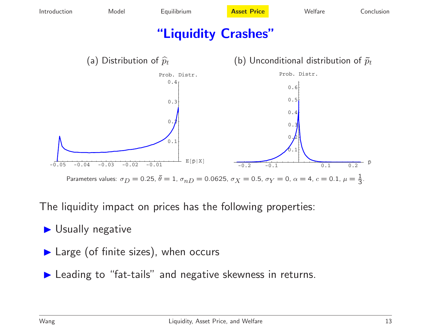

The liquidity impact on prices has the following properties:

▶ Usually negative

▶ Large (of finite sizes), when occurs

▶ Leading to "fat-tails" and negative skewness in returns.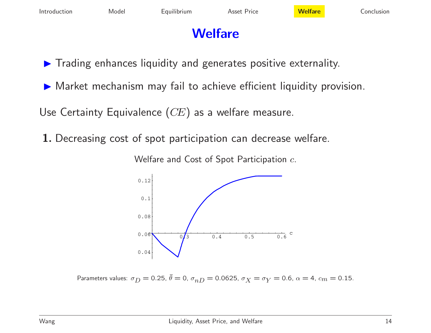# **Welfare**

 $\blacktriangleright$  Trading enhances liquidity and generates positive externality.

 $\blacktriangleright$  Market mechanism may fail to achieve efficient liquidity provision.

Use Certainty Equivalence  $(CE)$  as a welfare measure.

**1.** Decreasing cost of spot participation can decrease welfare.

Welfare and Cost of Spot Participation  $c_{\cdot}$ 



Parameters values:  $\sigma_D=$  0.25,  $\bar{\theta}=$  0,  $\sigma_{nD}=$  0.0625,  $\sigma_X=\sigma_Y=$  0.6,  $\alpha=$  4,  $c_m=$  0.15.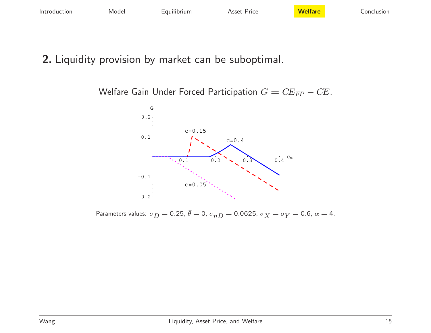#### **2.** Liquidity provision by market can be suboptimal.

Welfare Gain Under Forced Participation  $G=C E_{FP}-C E.$ 



Parameters values:  $\sigma_D^{}=$  0.25,  $\bar{\theta}=$  0,  $\sigma_{nD}^{}=$  0.0625,  $\sigma_X^{}=\sigma_Y^{}=$  0.6,  $\alpha=$  4.